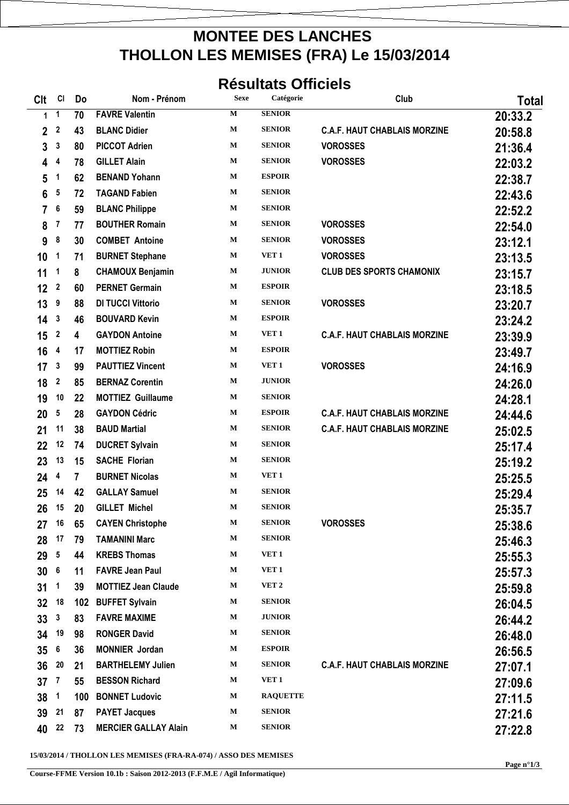## **MONTEE DES LANCHES THOLLON LES MEMISES (FRA) Le 15/03/2014**

## **Résultats Officiels**

| <b>CIt</b>      | CI               | Do  | Nom - Prénom                | <b>Sexe</b> | Catégorie        | Club                                | Total   |
|-----------------|------------------|-----|-----------------------------|-------------|------------------|-------------------------------------|---------|
| 1               | $\mathbf{1}$     | 70  | <b>FAVRE Valentin</b>       | $\mathbf M$ | <b>SENIOR</b>    |                                     | 20:33.2 |
| 2               | $\boldsymbol{2}$ | 43  | <b>BLANC Didier</b>         | M           | <b>SENIOR</b>    | <b>C.A.F. HAUT CHABLAIS MORZINE</b> | 20:58.8 |
| 3               | 3                | 80  | <b>PICCOT Adrien</b>        | $\mathbf M$ | <b>SENIOR</b>    | <b>VOROSSES</b>                     | 21:36.4 |
| 4               | 4                | 78  | <b>GILLET Alain</b>         | M           | <b>SENIOR</b>    | <b>VOROSSES</b>                     | 22:03.2 |
| 5               | 1                | 62  | <b>BENAND Yohann</b>        | $\mathbf M$ | <b>ESPOIR</b>    |                                     | 22:38.7 |
| 6               | 5                | 72  | <b>TAGAND Fabien</b>        | M           | <b>SENIOR</b>    |                                     | 22:43.6 |
| 7               | 6                | 59  | <b>BLANC Philippe</b>       | $\mathbf M$ | <b>SENIOR</b>    |                                     | 22:52.2 |
| 8               | 7                | 77  | <b>BOUTHER Romain</b>       | M           | <b>SENIOR</b>    | <b>VOROSSES</b>                     | 22:54.0 |
| 9               | 8                | 30  | <b>COMBET Antoine</b>       | M           | <b>SENIOR</b>    | <b>VOROSSES</b>                     | 23:12.1 |
| 10              | 1                | 71  | <b>BURNET Stephane</b>      | $\mathbf M$ | VET <sub>1</sub> | <b>VOROSSES</b>                     | 23:13.5 |
| 11              | 1                | 8   | <b>CHAMOUX Benjamin</b>     | M           | <b>JUNIOR</b>    | <b>CLUB DES SPORTS CHAMONIX</b>     | 23:15.7 |
| 12              | $\boldsymbol{2}$ | 60  | <b>PERNET Germain</b>       | M           | <b>ESPOIR</b>    |                                     | 23:18.5 |
| 13              | 9                | 88  | <b>DI TUCCI Vittorio</b>    | M           | <b>SENIOR</b>    | <b>VOROSSES</b>                     | 23:20.7 |
| 14              | 3                | 46  | <b>BOUVARD Kevin</b>        | M           | <b>ESPOIR</b>    |                                     | 23:24.2 |
| 15              | 2                | 4   | <b>GAYDON Antoine</b>       | M           | VET <sub>1</sub> | <b>C.A.F. HAUT CHABLAIS MORZINE</b> | 23:39.9 |
| 16              | 4                | 17  | <b>MOTTIEZ Robin</b>        | M           | <b>ESPOIR</b>    |                                     | 23:49.7 |
| 17              | 3                | 99  | <b>PAUTTIEZ Vincent</b>     | M           | VET <sub>1</sub> | <b>VOROSSES</b>                     | 24:16.9 |
| 18              | 2                | 85  | <b>BERNAZ Corentin</b>      | M           | <b>JUNIOR</b>    |                                     | 24:26.0 |
| 19              | 10               | 22  | <b>MOTTIEZ Guillaume</b>    | M           | <b>SENIOR</b>    |                                     | 24:28.1 |
| 20              | 5                | 28  | <b>GAYDON Cédric</b>        | $\mathbf M$ | <b>ESPOIR</b>    | <b>C.A.F. HAUT CHABLAIS MORZINE</b> | 24:44.6 |
| 21              | 11               | 38  | <b>BAUD Martial</b>         | M           | <b>SENIOR</b>    | <b>C.A.F. HAUT CHABLAIS MORZINE</b> | 25:02.5 |
| 22              | 12               | 74  | <b>DUCRET Sylvain</b>       | M           | <b>SENIOR</b>    |                                     | 25:17.4 |
| 23              | 13               | 15  | <b>SACHE Florian</b>        | M           | <b>SENIOR</b>    |                                     | 25:19.2 |
| 24              | 4                | 7   | <b>BURNET Nicolas</b>       | M           | VET <sub>1</sub> |                                     | 25:25.5 |
| 25              | 14               | 42  | <b>GALLAY Samuel</b>        | M           | <b>SENIOR</b>    |                                     | 25:29.4 |
| 26              | 15               | 20  | <b>GILLET Michel</b>        | M           | <b>SENIOR</b>    |                                     | 25:35.7 |
| 27              | 16               | 65  | <b>CAYEN Christophe</b>     | М           | <b>SENIOR</b>    | <b>VOROSSES</b>                     | 25:38.6 |
| 28              | 17               | 79  | <b>TAMANINI Marc</b>        | $\mathbf M$ | <b>SENIOR</b>    |                                     | 25:46.3 |
| 29              | 5                | 44  | <b>KREBS Thomas</b>         | М           | VET <sub>1</sub> |                                     | 25:55.3 |
| 30              | $\boldsymbol{6}$ | 11  | <b>FAVRE Jean Paul</b>      | $\mathbf M$ | VET <sub>1</sub> |                                     | 25:57.3 |
| 31              | $\mathbf 1$      | 39  | <b>MOTTIEZ Jean Claude</b>  | М           | VET <sub>2</sub> |                                     | 25:59.8 |
| 32              | 18               | 102 | <b>BUFFET Sylvain</b>       | М           | <b>SENIOR</b>    |                                     | 26:04.5 |
| 33              | $\mathbf{3}$     | 83  | <b>FAVRE MAXIME</b>         | М           | <b>JUNIOR</b>    |                                     | 26:44.2 |
| 34              | 19               | 98  | <b>RONGER David</b>         | М           | <b>SENIOR</b>    |                                     | 26:48.0 |
| 35 <sub>5</sub> | 6                | 36  | <b>MONNIER Jordan</b>       | М           | <b>ESPOIR</b>    |                                     | 26:56.5 |
| 36              | 20               | 21  | <b>BARTHELEMY Julien</b>    | М           | <b>SENIOR</b>    | <b>C.A.F. HAUT CHABLAIS MORZINE</b> | 27:07.1 |
| 37              | $\overline{7}$   | 55  | <b>BESSON Richard</b>       | М           | VET 1            |                                     | 27:09.6 |
| 38              | $\mathbf{1}$     | 100 | <b>BONNET Ludovic</b>       | $\mathbf M$ | <b>RAQUETTE</b>  |                                     | 27:11.5 |
| 39              | 21               | 87  | <b>PAYET Jacques</b>        | М           | <b>SENIOR</b>    |                                     | 27:21.6 |
| 40              | 22               | 73  | <b>MERCIER GALLAY Alain</b> | М           | <b>SENIOR</b>    |                                     | 27:22.8 |

**15/03/2014 / THOLLON LES MEMISES (FRA-RA-074) / ASSO DES MEMISES** 

**Course-FFME Version 10.1b : Saison 2012-2013 (F.F.M.E / Agil Informatique)**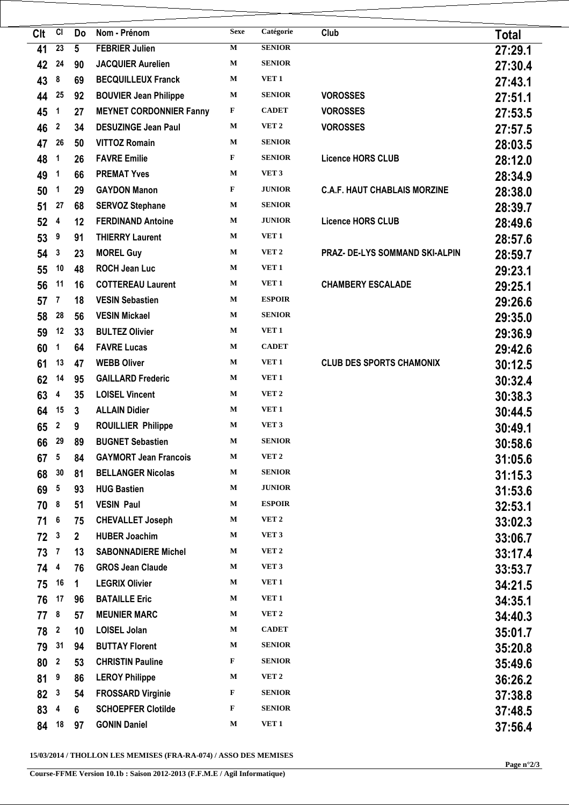| Clt   | CI               | Do              | Nom - Prénom                   | <b>Sexe</b> | Catégorie        | Club                                | <b>Total</b> |
|-------|------------------|-----------------|--------------------------------|-------------|------------------|-------------------------------------|--------------|
| 41    | 23               | $5\phantom{.0}$ | <b>FEBRIER Julien</b>          | $\mathbf M$ | <b>SENIOR</b>    |                                     | 27:29.1      |
| 42    | 24               | 90              | <b>JACQUIER Aurelien</b>       | M           | <b>SENIOR</b>    |                                     | 27:30.4      |
| 43    | 8                | 69              | <b>BECQUILLEUX Franck</b>      | $\mathbf M$ | VET <sub>1</sub> |                                     | 27:43.1      |
| 44    | 25               | 92              | <b>BOUVIER Jean Philippe</b>   | $\mathbf M$ | <b>SENIOR</b>    | <b>VOROSSES</b>                     | 27:51.1      |
| 45    | 1                | 27              | <b>MEYNET CORDONNIER Fanny</b> | F           | <b>CADET</b>     | <b>VOROSSES</b>                     | 27:53.5      |
| 46    | 2                | 34              | <b>DESUZINGE Jean Paul</b>     | М           | VET <sub>2</sub> | <b>VOROSSES</b>                     | 27:57.5      |
| 47    | 26               | 50              | <b>VITTOZ Romain</b>           | $\mathbf M$ | <b>SENIOR</b>    |                                     | 28:03.5      |
| 48    | 1                | 26              | <b>FAVRE Emilie</b>            | F           | <b>SENIOR</b>    | <b>Licence HORS CLUB</b>            | 28:12.0      |
| 49    | 1                | 66              | <b>PREMAT Yves</b>             | $\mathbf M$ | VET <sub>3</sub> |                                     | 28:34.9      |
| 50    | 1                | 29              | <b>GAYDON Manon</b>            | $\mathbf F$ | <b>JUNIOR</b>    | <b>C.A.F. HAUT CHABLAIS MORZINE</b> | 28:38.0      |
| 51    | 27               | 68              | <b>SERVOZ Stephane</b>         | М           | <b>SENIOR</b>    |                                     | 28:39.7      |
| 52    | 4                | 12              | <b>FERDINAND Antoine</b>       | $\mathbf M$ | <b>JUNIOR</b>    | <b>Licence HORS CLUB</b>            | 28:49.6      |
| 53    | 9                | 91              | <b>THIERRY Laurent</b>         | М           | VET <sub>1</sub> |                                     | 28:57.6      |
| 54    | 3                | 23              | <b>MOREL Guy</b>               | $\mathbf M$ | VET <sub>2</sub> | PRAZ- DE-LYS SOMMAND SKI-ALPIN      | 28:59.7      |
| 55    | 10               | 48              | <b>ROCH Jean Luc</b>           | М           | VET <sub>1</sub> |                                     | 29:23.1      |
| 56    | 11               | 16              | <b>COTTEREAU Laurent</b>       | М           | VET <sub>1</sub> | <b>CHAMBERY ESCALADE</b>            | 29:25.1      |
| 57    | 7                | 18              | <b>VESIN Sebastien</b>         | $\mathbf M$ | <b>ESPOIR</b>    |                                     | 29:26.6      |
| 58    | 28               | 56              | <b>VESIN Mickael</b>           | $\mathbf M$ | <b>SENIOR</b>    |                                     | 29:35.0      |
| 59    | 12               | 33              | <b>BULTEZ Olivier</b>          | $\mathbf M$ | VET <sub>1</sub> |                                     | 29:36.9      |
| 60    | 1                | 64              | <b>FAVRE Lucas</b>             | $\mathbf M$ | <b>CADET</b>     |                                     | 29:42.6      |
| 61    | 13               | 47              | <b>WEBB Oliver</b>             | $\mathbf M$ | VET <sub>1</sub> | <b>CLUB DES SPORTS CHAMONIX</b>     | 30:12.5      |
| 62    | 14               | 95              | <b>GAILLARD Frederic</b>       | $\mathbf M$ | VET <sub>1</sub> |                                     | 30:32.4      |
| 63    | 4                | 35              | <b>LOISEL Vincent</b>          | M           | VET <sub>2</sub> |                                     | 30:38.3      |
| 64    | 15               | $\mathbf{3}$    | <b>ALLAIN Didier</b>           | $\mathbf M$ | VET <sub>1</sub> |                                     | 30:44.5      |
| 65    | 2                | 9               | <b>ROUILLIER Philippe</b>      | $\mathbf M$ | VET <sub>3</sub> |                                     | 30:49.1      |
| 66    | 29               | 89              | <b>BUGNET Sebastien</b>        | $\mathbf M$ | <b>SENIOR</b>    |                                     | 30:58.6      |
| 67    | 5                | 84              | <b>GAYMORT Jean Francois</b>   | $\mathbf M$ | VET <sub>2</sub> |                                     | 31:05.6      |
| 68    | 30               | 81              | <b>BELLANGER Nicolas</b>       | $\mathbf M$ | <b>SENIOR</b>    |                                     | 31:15.3      |
| 69    | 5                | 93              | <b>HUG Bastien</b>             | $\mathbf M$ | <b>JUNIOR</b>    |                                     | 31:53.6      |
| 70    | 8                | 51              | <b>VESIN Paul</b>              | $\mathbf M$ | <b>ESPOIR</b>    |                                     | 32:53.1      |
| 71    | 6                | 75              | <b>CHEVALLET Joseph</b>        | М           | VET <sub>2</sub> |                                     | 33:02.3      |
| 72    | 3                | $\overline{2}$  | <b>HUBER Joachim</b>           | $\mathbf M$ | VET <sub>3</sub> |                                     | 33:06.7      |
| 73    | $\overline{7}$   | 13              | <b>SABONNADIERE Michel</b>     | М           | VET <sub>2</sub> |                                     | 33:17.4      |
| 74    | 4                | 76              | <b>GROS Jean Claude</b>        | М           | VET <sub>3</sub> |                                     | 33:53.7      |
| 75    | 16               | 1               | <b>LEGRIX Olivier</b>          | М           | VET <sub>1</sub> |                                     | 34:21.5      |
| 76    | 17               | 96              | <b>BATAILLE Eric</b>           | $\mathbf M$ | VET 1            |                                     | 34:35.1      |
| 77    | 8                | 57              | <b>MEUNIER MARC</b>            | М           | VET <sub>2</sub> |                                     | 34:40.3      |
| 78    | $\mathbf{2}$     | 10              | <b>LOISEL Jolan</b>            | М           | <b>CADET</b>     |                                     | 35:01.7      |
| 79    | 31               | 94              | <b>BUTTAY Florent</b>          | М           | <b>SENIOR</b>    |                                     | 35:20.8      |
| 80    | $\boldsymbol{2}$ | 53              | <b>CHRISTIN Pauline</b>        | F           | <b>SENIOR</b>    |                                     | 35:49.6      |
| 81    | 9                | 86              | <b>LEROY Philippe</b>          | М           | VET 2            |                                     | 36:26.2      |
| 82    | 3                | 54              | <b>FROSSARD Virginie</b>       | F           | <b>SENIOR</b>    |                                     | 37:38.8      |
| 83    | 4                | 6               | <b>SCHOEPFER Clotilde</b>      | F           | <b>SENIOR</b>    |                                     | 37:48.5      |
| 84 18 |                  | 97              | <b>GONIN Daniel</b>            | M           | VET 1            |                                     | 37:56.4      |

**15/03/2014 / THOLLON LES MEMISES (FRA-RA-074) / ASSO DES MEMISES**